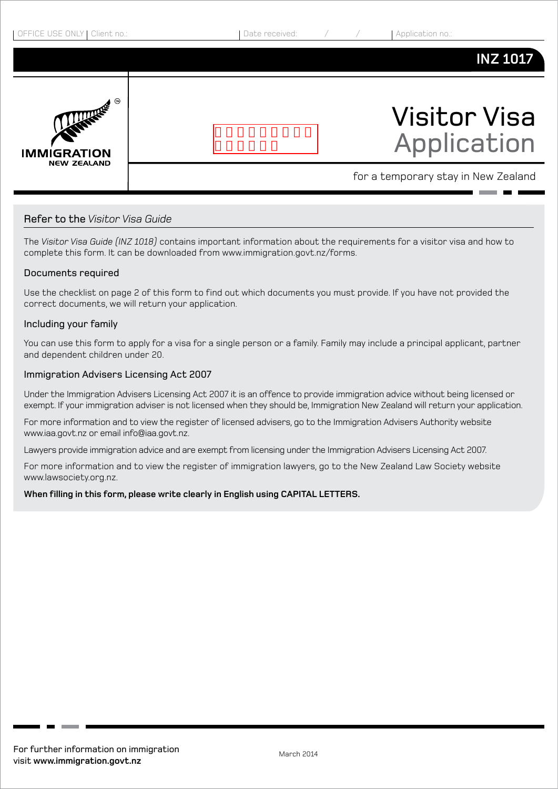

### Refer to the *Visitor Visa Guide*

The *Visitor Visa Guide (INZ 1018)* contains important information about the requirements for a visitor visa and how to complete this form. It can be downloaded from www.immigration.govt.nz/forms.

### Documents required

Use the checklist on page 2 of this form to find out which documents you must provide. If you have not provided the correct documents, we will return your application.

### Including your family

You can use this form to apply for a visa for a single person or a family. Family may include a principal applicant, partner and dependent children under 20.

### Immigration Advisers Licensing Act 2007

Under the Immigration Advisers Licensing Act 2007 it is an offence to provide immigration advice without being licensed or exempt. If your immigration adviser is not licensed when they should be, Immigration New Zealand will return your application.

For more information and to view the register of licensed advisers, go to the Immigration Advisers Authority website www.iaa.govt.nz or email info@iaa.govt.nz.

Lawyers provide immigration advice and are exempt from licensing under the Immigration Advisers Licensing Act 2007.

For more information and to view the register of immigration lawyers, go to the New Zealand Law Society website www.lawsociety.org.nz.

#### **When filling in this form, please write clearly in English using CAPITAL LETTERS.**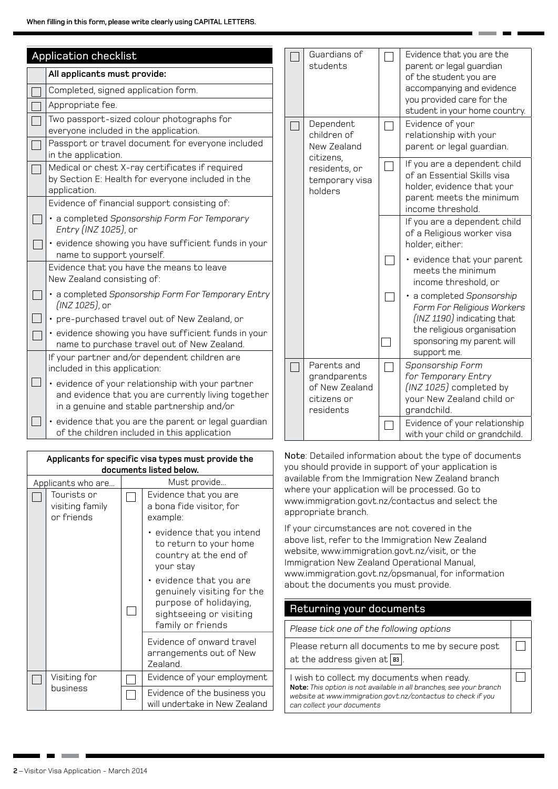| Application checklist                                                                                                                                  | Guardians of<br>students                                  |
|--------------------------------------------------------------------------------------------------------------------------------------------------------|-----------------------------------------------------------|
| All applicants must provide:                                                                                                                           |                                                           |
| Completed, signed application form.                                                                                                                    |                                                           |
| Appropriate fee.                                                                                                                                       |                                                           |
| Two passport-sized colour photographs for<br>everyone included in the application.                                                                     | Dependent<br>children of                                  |
| Passport or travel document for everyone included<br>in the application.                                                                               | New Zealand<br>citizens,                                  |
| Medical or chest X-ray certificates if required<br>by Section E: Health for everyone included in the<br>application.                                   | residents, or<br>temporary vis<br>holders                 |
| Evidence of financial support consisting of:                                                                                                           |                                                           |
| · a completed Sponsorship Form For Temporary<br>Entry (INZ 1025), or                                                                                   |                                                           |
| · evidence showing you have sufficient funds in your<br>name to support yourself.                                                                      |                                                           |
| Evidence that you have the means to leave<br>New Zealand consisting of:                                                                                |                                                           |
| · a completed Sponsorship Form For Temporary Entry<br>(INZ 1025), or                                                                                   |                                                           |
| • pre-purchased travel out of New Zealand, or                                                                                                          |                                                           |
| · evidence showing you have sufficient funds in your<br>name to purchase travel out of New Zealand.                                                    |                                                           |
| If your partner and/or dependent children are<br>included in this application:                                                                         | Parents and                                               |
| · evidence of your relationship with your partner<br>and evidence that you are currently living together<br>in a genuine and stable partnership and/or | grandparents<br>of New Zealan<br>citizens or<br>residents |
| · evidence that you are the parent or legal guardian<br>of the children included in this application                                                   |                                                           |
|                                                                                                                                                        |                                                           |

**Applicants for specific visa types must provide the documents listed below.** Applicants who are... | Must provide... Evidence that you are Tourists or  $\Box$ visiting family a bona fide visitor, for or friends example: • evidence that you intend to return to your home country at the end of your stay • evidence that you are genuinely visiting for the purpose of holidaying,  $\Box$ sightseeing or visiting family or friends Evidence of onward travel arrangements out of New Zealand. Visiting for Evidence of your employment  $\Box$ business Evidence of the business you  $\Box$ will undertake in New Zealand

| Guardians of<br>students                                                  | Evidence that you are the<br>parent or legal guardian<br>of the student you are<br>accompanying and evidence<br>you provided care for the<br>student in your home country. |
|---------------------------------------------------------------------------|----------------------------------------------------------------------------------------------------------------------------------------------------------------------------|
| Dependent<br>children of<br>New Zealand<br>citizens,                      | Evidence of your<br>relationship with your<br>parent or legal guardian.                                                                                                    |
| residents, or<br>temporary visa<br>holders                                | If you are a dependent child<br>of an Essential Skills visa<br>holder, evidence that your<br>parent meets the minimum<br>income threshold.                                 |
|                                                                           | If you are a dependent child<br>of a Religious worker visa<br>holder, either:                                                                                              |
|                                                                           | • evidence that your parent<br>meets the minimum<br>income threshold, or                                                                                                   |
|                                                                           | a completed Sponsorship<br>Form For Religious Workers<br>(INZ 1190) indicating that<br>the religious organisation<br>sponsoring my parent will<br>support me.              |
| Parents and<br>grandparents<br>of New Zealand<br>citizens or<br>residents | Sponsorship Form<br>for Temporary Entry<br>(INZ 1025) completed by<br>your New Zealand child or<br>grandchild.                                                             |
|                                                                           | Evidence of your relationship<br>with your child or grandchild.                                                                                                            |

Note: Detailed information about the type of documents you should provide in support of your application is available from the Immigration New Zealand branch where your application will be processed. Go to www.immigration.govt.nz/contactus and select the appropriate branch.

If your circumstances are not covered in the above list, refer to the Immigration New Zealand website, www.immigration.govt.nz/visit, or the Immigration New Zealand Operational Manual, www.immigration.govt.nz/opsmanual, for information about the documents you must provide.

# Returning your documents *Please tick one of the following options*

Please return all documents to me by secure post at the address given at  $|\mathbf{B3}|$ .

 $\Box$ 

 $\Box$ 

I wish to collect my documents when ready. **Note:** *This option is not available in all branches, see your branch website at www.immigration.govt.nz/contactus to check if you can collect your documents*

 $\Box$ 

 $\Box$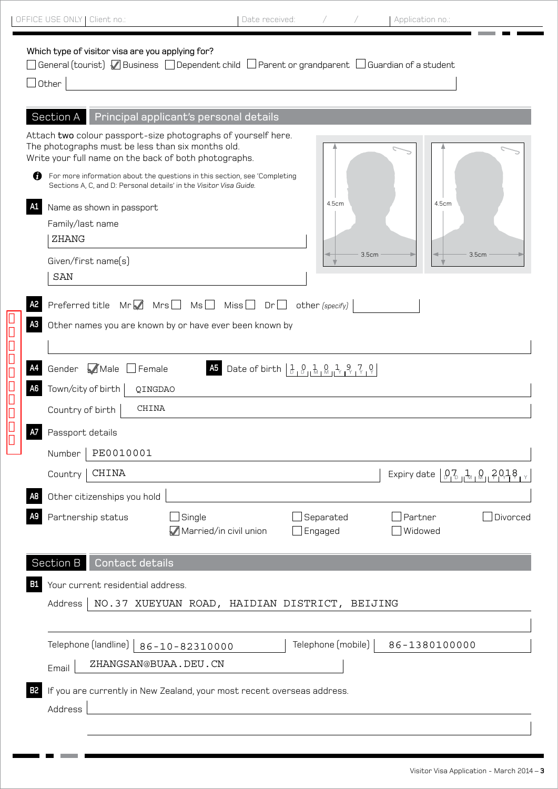### Which type of visitor visa are you applying for?

|                          |  | $\Box$ General (tourist) $\Box$ Business $\Box$ Dependent child $\Box$ Parent or grandparent $\Box$ Guardian of a student |  |
|--------------------------|--|---------------------------------------------------------------------------------------------------------------------------|--|
| $\Box$ Other $\parallel$ |  |                                                                                                                           |  |

Section A Principal applicant's personal details Attach two colour passport-size photographs of yourself here. The photographs must be less than six months old. Write your full name on the back of both photographs. A For more information about the questions in this section, see 'Completing Sections A, C, and D: Personal details' in the *Visitor Visa Guide.* 4.5cm 4.5cm **A1** Name as shown in passport Family/last name ZHANG  $3.5cm \rightarrow$   $\rightarrow$  3.5cm Given/first name(s) SAN **A2** Preferred title Mr **M** Mrs Ms Miss Dr other *(specify)* **A3** Other names you are known by or have ever been known by **A4** Gender Male Female **A5** Date of birth  $\left[\frac{1}{6} \begin{bmatrix} 0 & \frac{1}{10} & \frac{1}{10} & \frac{1}{10} & \frac{1}{10} & \frac{1}{10} & \frac{1}{10} & \frac{1}{10} & \frac{1}{10} & \frac{1}{10} & \frac{1}{10} & \frac{1}{10} & \frac{1}{10} & \frac{1}{10} & \frac{1}{10} & \frac{1}{10} & \frac{1}{10} & \frac{1}{10} & \frac{1}{1$  $\begin{tabular}{|l|l|} \hline \multicolumn{1}{c}{\textbf{Ande}} & \multicolumn{1}{c}{\textbf{Female}} & \multicolumn{1}{c}{\Delta\textbf{F} } \text{Date of birth} & \underbrace{\begin{array}{c} \text{1-HMR} \end{array}}_{\text{1-HMR} } \\ \hline \text{1D} & \multicolumn{1}{c}{\text{CHLNA}} \\ \hline \end{array} \\ \hline \end{tabular} \label{eq:2D} \begin{tabular}{|l|l|} \hline \multicolumn{1}{c}{\text{CHLNA}} & \multicolumn{1}{c}{\text{CHLMA}} \\ \hline \multicolumn{1}{c$ **A6** Town/city of birth QINGDAO CHINACountry of birth **A7** Passport details Number PE0010001 Country | CHINA Expiry date  $\left[\begin{smallmatrix}0&7\\0&1\end{smallmatrix}\right]$   $\left[\begin{smallmatrix}0&2\\0&1\end{smallmatrix}\right]$   $\left[\begin{smallmatrix}0&2\\0&1\end{smallmatrix}\right]$ Other citizenships you hold Partnership status Single Separated **Separated** Partner Divorced Married/in civil union Engaged Widowed Section B Contact details **B1** Your current residential address. Address NO.37 XUEYUAN ROAD, HAIDIAN DISTRICT, BEIJING Telephone (landline) | 86-10-82310000 | Telephone (mobile) | 86-1380100000 Email **B2** If you are currently in New Zealand, your most recent overseas address. Address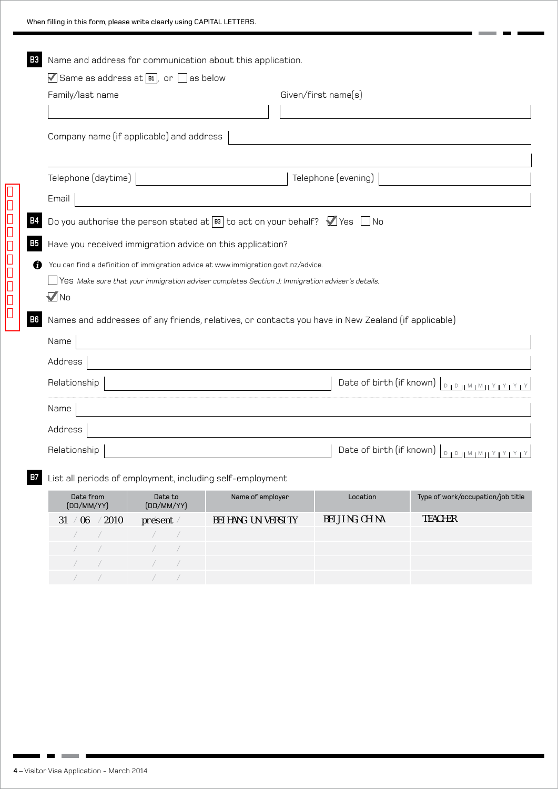| <b>B3</b> | Name and address for communication about this application.                                                                   |                     |                                                |
|-----------|------------------------------------------------------------------------------------------------------------------------------|---------------------|------------------------------------------------|
|           | Same as address at $\boxed{\mathbf{B1}}$ , or $\boxed{\phantom{0}}$ as below                                                 |                     |                                                |
|           | Family/last name                                                                                                             | Given/first name(s) |                                                |
|           |                                                                                                                              |                     |                                                |
|           | Company name (if applicable) and address                                                                                     |                     |                                                |
|           | Telephone (daytime)                                                                                                          |                     | Telephone (evening)                            |
|           | Email                                                                                                                        |                     |                                                |
| <b>B4</b> | Do you authorise the person stated at $\boxed{33}$ to act on your behalf? $\boxed{\phantom{1}}$ Yes $\boxed{\phantom{1}}$ No |                     |                                                |
| <b>B5</b> | Have you received immigration advice on this application?                                                                    |                     |                                                |
| 69        | You can find a definition of immigration advice at www.immigration.govt.nz/advice.                                           |                     |                                                |
|           | $\Box$ Yes Make sure that your immigration adviser completes Section J: Immigration adviser's details.                       |                     |                                                |
|           | $\nabla$ No                                                                                                                  |                     |                                                |
| <b>B6</b> | Names and addresses of any friends, relatives, or contacts you have in New Zealand (if applicable)                           |                     |                                                |
|           | Name                                                                                                                         |                     |                                                |
|           | Address<br><u> 1989 - Johann Barbara, martxa eta idazlea (h. 1989).</u>                                                      |                     |                                                |
|           | Relationship                                                                                                                 |                     |                                                |
|           | Name<br><u> 1980 - Andrea Andrew Maria (h. 1980).</u>                                                                        |                     |                                                |
|           | Address                                                                                                                      |                     |                                                |
|           | Relationship                                                                                                                 |                     | Date of birth (if known)   DI DIMIMITY IYIYIYI |
|           |                                                                                                                              |                     |                                                |

**B7** List all periods of employment, including self-employment

| Date from<br>(DD/MM/YY) | Date to<br>(DD/MM/YY)                                                                                                                                                                                                                                                                                                                                                                                                                                                                                                                                                                               | Name of employer    | Location        | Type of work/occupation/job title |
|-------------------------|-----------------------------------------------------------------------------------------------------------------------------------------------------------------------------------------------------------------------------------------------------------------------------------------------------------------------------------------------------------------------------------------------------------------------------------------------------------------------------------------------------------------------------------------------------------------------------------------------------|---------------------|-----------------|-----------------------------------|
| 31 / 06 / 2010          | present /                                                                                                                                                                                                                                                                                                                                                                                                                                                                                                                                                                                           | BEI HANG UN VERSITY | BEI JING, CHINA | <b>TFACHER</b>                    |
|                         |                                                                                                                                                                                                                                                                                                                                                                                                                                                                                                                                                                                                     |                     |                 |                                   |
|                         | $\sqrt{2}$                                                                                                                                                                                                                                                                                                                                                                                                                                                                                                                                                                                          |                     |                 |                                   |
|                         | $\left( \begin{array}{cccc} \begin{array}{cccc} \end{array} & \begin{array}{cccc} \end{array} & \begin{array}{cccc} \end{array} & \begin{array}{cccc} \end{array} & \begin{array}{cccc} \end{array} & \begin{array}{cccc} \end{array} & \begin{array}{cccc} \end{array} & \begin{array}{cccc} \end{array} & \begin{array}{cccc} \end{array} & \begin{array}{cccc} \end{array} & \begin{array}{cccc} \end{array} & \begin{array}{cccc} \end{array} & \begin{array}{cccc} \end{array} & \begin{array}{cccc} \end{array} & \begin{array}{cccc} \end{array} & \begin{array}{cccc} \end{array} & \begin$ |                     |                 |                                   |
|                         |                                                                                                                                                                                                                                                                                                                                                                                                                                                                                                                                                                                                     |                     |                 |                                   |

**The College of the College of the College of the College of the College of the College of the College of the Co** Ħ.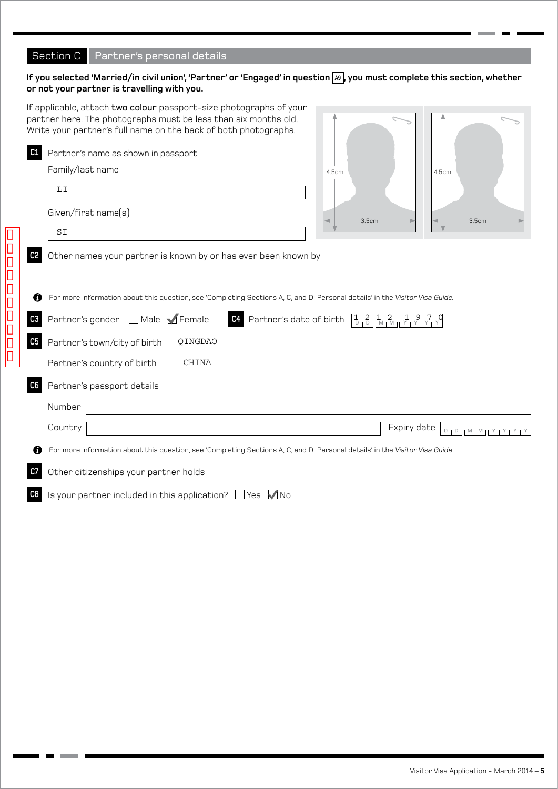# Section C | Partner's personal details

### If you selected 'Married/in civil union', 'Partner' or 'Engaged' in question **A9** , you must complete this section, whether **or not your partner is travelling with you.**

|    | If applicable, attach two colour passport-size photographs of your<br>partner here. The photographs must be less than six months old.<br>Write your partner's full name on the back of both photographs.                                                                                                                                                   |
|----|------------------------------------------------------------------------------------------------------------------------------------------------------------------------------------------------------------------------------------------------------------------------------------------------------------------------------------------------------------|
|    | Partner's name as shown in passport<br>Family/last name<br>4.5cm<br>4.5cm<br>LI<br>Given/first name(s)<br>3.5cm<br>3.5cm<br>SI                                                                                                                                                                                                                             |
| C2 | Other names your partner is known by or has ever been known by                                                                                                                                                                                                                                                                                             |
| O  | For more information about this question, see 'Completing Sections A, C, and D: Personal details' in the Visitor Visa Guide.<br>Partner's date of birth $\begin{bmatrix} 1 & 2 & 1 & 2 & 1 & 9 & 7 & 0 \\ 0 & 0 & 1 & 1 & 1 & 1 & 1 \\ 0 & 0 & 0 & 0 & 1 & 1 \end{bmatrix}$<br>Partner's gender □ Male ● Female<br>QINGDAO<br>Partner's town/city of birth |
|    | CHINA<br>Partner's country of birth                                                                                                                                                                                                                                                                                                                        |
| C6 | Partner's passport details<br>Number                                                                                                                                                                                                                                                                                                                       |
|    | Country<br>Expiry date<br>$D + D + M + M + Y + Y + Y + Y$                                                                                                                                                                                                                                                                                                  |
|    | For more information about this question, see 'Completing Sections A, C, and D: Personal details' in the Visitor Visa Guide.                                                                                                                                                                                                                               |
|    | Other citizenships your partner holds                                                                                                                                                                                                                                                                                                                      |
|    | Is your partner included in this application? □ Yes ■ No                                                                                                                                                                                                                                                                                                   |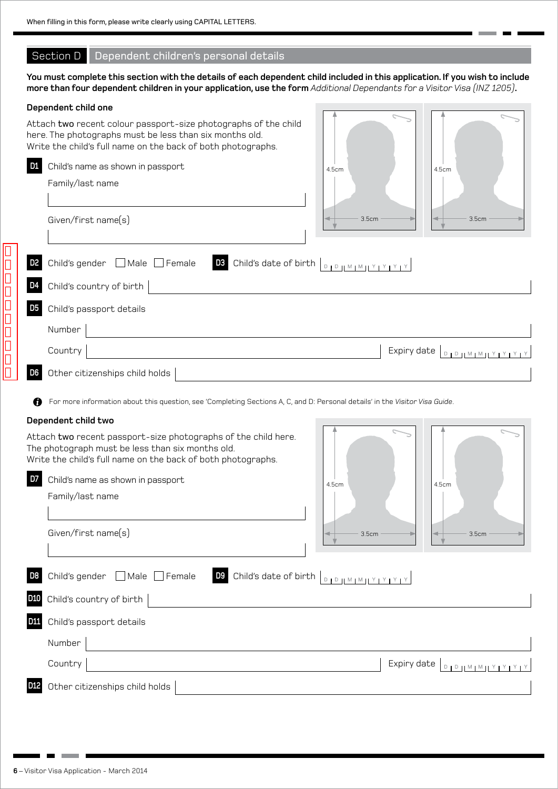# Section D Dependent children's personal details

**You must complete this section with the details of each dependent child included in this application. If you wish to include more than four dependent children in your application, use the form** *Additional Dependants for a Visitor Visa (INZ 1205)***.**

### **Dependent child one**

| Dependent child one                                                                                                                                                                        |             |                                 |
|--------------------------------------------------------------------------------------------------------------------------------------------------------------------------------------------|-------------|---------------------------------|
| Attach two recent colour passport-size photographs of the child<br>here. The photographs must be less than six months old.<br>Write the child's full name on the back of both photographs. |             |                                 |
| D <sub>1</sub><br>Child's name as shown in passport                                                                                                                                        | 4.5cm       | 4.5cm                           |
| Family/last name                                                                                                                                                                           |             |                                 |
| Given/first name(s)                                                                                                                                                                        | 3.5cm       | 3.5cm                           |
| Child's gender Male Female<br>D3 Child's date of birth $\boxed{\begin{array}{c} 0 & 0 \end{array}}$<br>D <sub>2</sub>                                                                      |             |                                 |
| Child's country of birth                                                                                                                                                                   |             |                                 |
| Child's passport details<br>D5                                                                                                                                                             |             |                                 |
| Number                                                                                                                                                                                     |             |                                 |
| Country                                                                                                                                                                                    | Expiry date | $D + D + M + M + Y + Y + Y + Y$ |
| Other citizenships child holds<br>D6                                                                                                                                                       |             |                                 |
| Ø<br>For more information about this question, see 'Completing Sections A, C, and D: Personal details' in the Visitor Visa Guide.                                                          |             |                                 |
| Dependent child two                                                                                                                                                                        |             |                                 |
| Attach two recent passport-size photographs of the child here.<br>The photograph must be less than six months old.<br>Write the child's full name on the back of both photographs.         |             |                                 |
| D7<br>Child's name as shown in passport                                                                                                                                                    | 4.5cm       | 4.5cm                           |
| Family/last name                                                                                                                                                                           |             |                                 |
| Given/first name(s)                                                                                                                                                                        | 3.5cm       | 3.5cm                           |
| D9 Child's date of birth $\boxed{\text{min}$ $\frac{1}{2}$<br>Child's gender<br>$\Box$ Male<br>$\Box$ Female<br>D8                                                                         |             |                                 |
| Child's country of birth<br>D10                                                                                                                                                            |             |                                 |
| Child's passport details<br>D11                                                                                                                                                            |             |                                 |
| Number                                                                                                                                                                                     |             |                                 |
| Country                                                                                                                                                                                    | Expiry date | $D + D + M + M + Y + Y + Y + Y$ |
| Other citizenships child holds                                                                                                                                                             |             |                                 |
|                                                                                                                                                                                            |             |                                 |

л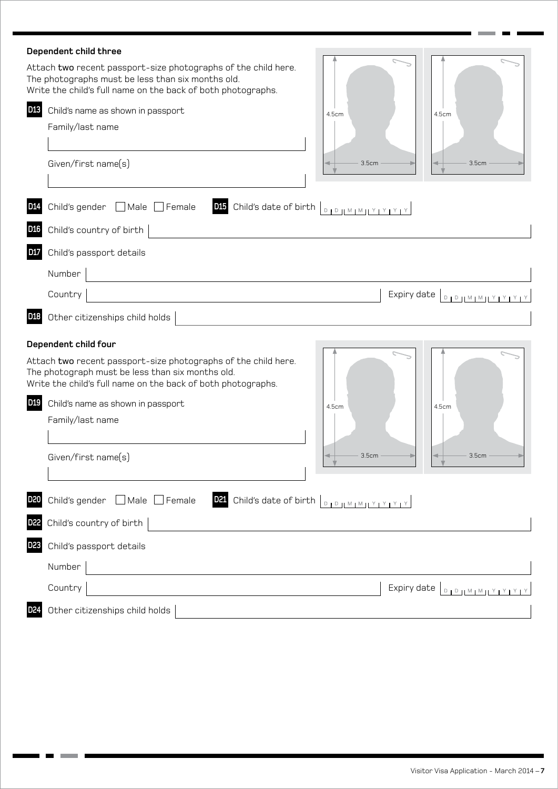| Dependent child three                                                                                                                                                               |                                                                                                                                                                                                                                                                                                                                                                                                                    |
|-------------------------------------------------------------------------------------------------------------------------------------------------------------------------------------|--------------------------------------------------------------------------------------------------------------------------------------------------------------------------------------------------------------------------------------------------------------------------------------------------------------------------------------------------------------------------------------------------------------------|
| Attach two recent passport-size photographs of the child here.<br>The photographs must be less than six months old.<br>Write the child's full name on the back of both photographs. |                                                                                                                                                                                                                                                                                                                                                                                                                    |
| D <sub>13</sub><br>Child's name as shown in passport                                                                                                                                | 4.5cm<br>4.5cm                                                                                                                                                                                                                                                                                                                                                                                                     |
| Family/last name                                                                                                                                                                    |                                                                                                                                                                                                                                                                                                                                                                                                                    |
| Given/first name(s)                                                                                                                                                                 | 3.5cm<br>3.5cm                                                                                                                                                                                                                                                                                                                                                                                                     |
| Child's gender Male Female<br>D <sub>14</sub>                                                                                                                                       | D15 Child's date of birth   D   D   M   M   Y   Y   Y   Y   Y                                                                                                                                                                                                                                                                                                                                                      |
| Child's country of birth<br>D <sub>16</sub>                                                                                                                                         |                                                                                                                                                                                                                                                                                                                                                                                                                    |
| D17<br>Child's passport details                                                                                                                                                     |                                                                                                                                                                                                                                                                                                                                                                                                                    |
| Number                                                                                                                                                                              |                                                                                                                                                                                                                                                                                                                                                                                                                    |
| Country                                                                                                                                                                             | Expiry date<br>$\begin{array}{cccccccccccccc} 0 & 1 & 0 & 1 & M & 1 & M & 1 & Y & 1 & Y & 1 & Y \\ \end{array}$                                                                                                                                                                                                                                                                                                    |
| D <sub>18</sub><br>Other citizenships child holds                                                                                                                                   |                                                                                                                                                                                                                                                                                                                                                                                                                    |
| Dependent child four                                                                                                                                                                |                                                                                                                                                                                                                                                                                                                                                                                                                    |
| Attach two recent passport-size photographs of the child here.<br>The photograph must be less than six months old.<br>Write the child's full name on the back of both photographs.  |                                                                                                                                                                                                                                                                                                                                                                                                                    |
| D <sub>19</sub><br>Child's name as shown in passport                                                                                                                                | 4.5cm<br>4.5cm                                                                                                                                                                                                                                                                                                                                                                                                     |
| Family/last name                                                                                                                                                                    |                                                                                                                                                                                                                                                                                                                                                                                                                    |
| Given/first name(s)                                                                                                                                                                 | 3.5cm<br>3.5cm                                                                                                                                                                                                                                                                                                                                                                                                     |
| Child's gender □ Male □ Female<br>D <sub>20</sub>                                                                                                                                   | D <sub>21</sub> Child's date of birth $\left[\begin{array}{c c} 0 & 0 & \text{if } 0 & \text{if } 0 & \text{if } 0 & \text{if } 0 & \text{if } 0 & \text{if } 0 & \text{if } 0 & \text{if } 0 & \text{if } 0 & \text{if } 0 & \text{if } 0 & \text{if } 0 & \text{if } 0 & \text{if } 0 & \text{if } 0 & \text{if } 0 & \text{if } 0 & \text{if } 0 & \text{if } 0 & \text{if } 0 & \text{if } 0 & \text{if } 0 &$ |
| Child's country of birth<br>D22                                                                                                                                                     |                                                                                                                                                                                                                                                                                                                                                                                                                    |
| Child's passport details<br>D <sub>23</sub>                                                                                                                                         |                                                                                                                                                                                                                                                                                                                                                                                                                    |
| Number                                                                                                                                                                              |                                                                                                                                                                                                                                                                                                                                                                                                                    |
| Country                                                                                                                                                                             | Expiry date<br>$D_1 D_1 \underbrace{M_1 M_1 \underbrace{Y_1 Y_1 Y_1 Y_1}$                                                                                                                                                                                                                                                                                                                                          |
| Other citizenships child holds<br>D <sub>24</sub>                                                                                                                                   |                                                                                                                                                                                                                                                                                                                                                                                                                    |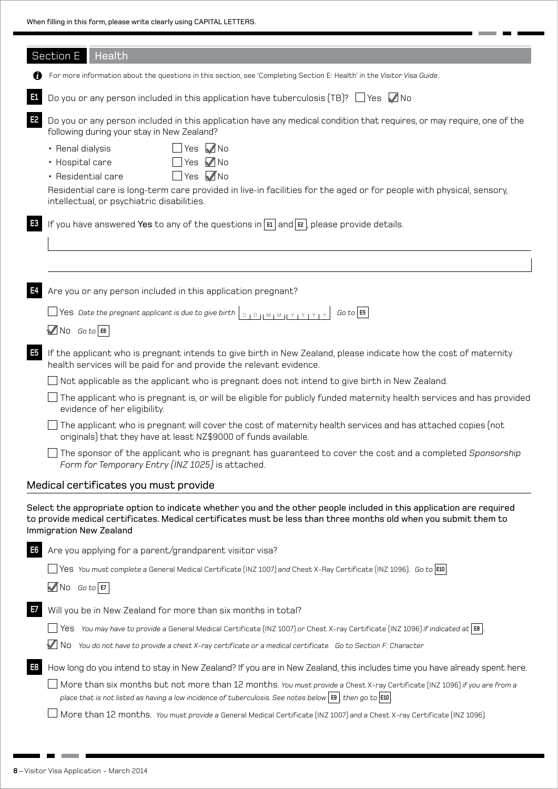|                | Section E<br>Health                                                                                                                                                                                                                                                 |
|----------------|---------------------------------------------------------------------------------------------------------------------------------------------------------------------------------------------------------------------------------------------------------------------|
|                | For more information about the questions in this section, see 'Completing Section E: Health' in the Visitor Visa Guide.                                                                                                                                             |
|                |                                                                                                                                                                                                                                                                     |
| E1             | Do you or any person included in this application have tuberculosis (TB)? $\Box$ Yes $\Box$ No                                                                                                                                                                      |
| E2             | Do you or any person included in this application have any medical condition that requires, or may require, one of the<br>following during your stay in New Zealand?                                                                                                |
|                | $\Box$ Yes $\Box$ No<br>• Renal dialysis                                                                                                                                                                                                                            |
|                | Yes $\blacksquare$ No<br>• Hospital care<br>$\Box$ Yes $\Box$ No<br>• Residential care                                                                                                                                                                              |
|                | Residential care is long-term care provided in live-in facilities for the aged or for people with physical, sensory,<br>intellectual, or psychiatric disabilities.                                                                                                  |
| <b>E3</b>      | If you have answered Yes to any of the questions in $\mathbb{E}$ and $\mathbb{E}$ , please provide details.                                                                                                                                                         |
|                |                                                                                                                                                                                                                                                                     |
|                |                                                                                                                                                                                                                                                                     |
|                |                                                                                                                                                                                                                                                                     |
| <b>E4</b>      | Are you or any person included in this application pregnant?                                                                                                                                                                                                        |
|                | $Go to \vert E5$<br>$\Box$ Yes Date the pregnant applicant is due to give birth $\vert$<br>$D + D + M + M + Y + Y + Y + Y$                                                                                                                                          |
|                | $\bigvee$ No Go to E6                                                                                                                                                                                                                                               |
| <b>E5</b>      | If the applicant who is pregnant intends to give birth in New Zealand, please indicate how the cost of maternity<br>health services will be paid for and provide the relevant evidence.                                                                             |
|                | Not applicable as the applicant who is pregnant does not intend to give birth in New Zealand.                                                                                                                                                                       |
|                | The applicant who is pregnant is, or will be eligible for publicly funded maternity health services and has provided<br>evidence of her eligibility.                                                                                                                |
|                | The applicant who is pregnant will cover the cost of maternity health services and has attached copies (not<br>originals) that they have at least NZ\$9000 of funds available.                                                                                      |
|                | The sponsor of the applicant who is pregnant has guaranteed to cover the cost and a completed Sponsorship<br>Form for Temporary Entry (INZ 1025) is attached.                                                                                                       |
|                | Medical certificates you must provide                                                                                                                                                                                                                               |
|                | Select the appropriate option to indicate whether you and the other people included in this application are required<br>to provide medical certificates. Medical certificates must be less than three months old when you submit them to<br>Immigration New Zealand |
| E <sub>6</sub> | Are you applying for a parent/grandparent visitor visa?                                                                                                                                                                                                             |
|                | $\mid$ Yes <i>You must complete a</i> General Medical Certificate (INZ 1007) <i>and</i> Chest X-Ray Certificate (INZ 1096). <i>Go to</i> $ $ E10 $ $                                                                                                                |
|                | $\bigwedge$ No Go to E7                                                                                                                                                                                                                                             |
| E              | Will you be in New Zealand for more than six months in total?                                                                                                                                                                                                       |
|                | Yes You may have to provide a General Medical Certificate (INZ 1007) or Chest X-ray Certificate (INZ 1096) if indicated at $ \mathbf{B} $                                                                                                                           |
|                | No You do not have to provide a chest X-ray certificate or a medical certificate. Go to Section F: Character                                                                                                                                                        |
| <b>E8</b>      | How long do you intend to stay in New Zealand? If you are in New Zealand, this includes time you have already spent here.                                                                                                                                           |
|                | More than six months but not more than 12 months. You must provide a Chest X-ray Certificate (INZ 1096) if you are from a                                                                                                                                           |
|                | place that is not listed as having a low incidence of tuberculosis. See notes below $ \texttt{\small EB} $ then go to $ \texttt{\small ED} $                                                                                                                        |
|                | More than 12 months. You must provide a General Medical Certificate (INZ 1007) and a Chest X-ray Certificate (INZ 1096).                                                                                                                                            |
|                |                                                                                                                                                                                                                                                                     |

× ä

. . . .

r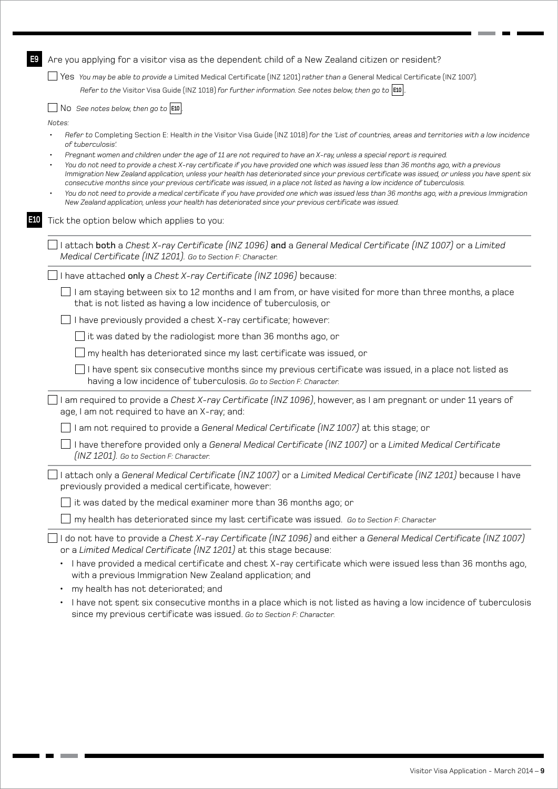| E9  |           | Are you applying for a visitor visa as the dependent child of a New Zealand citizen or resident?                                                                                                                                                                                                                                                                                                                                                                                                                                                                                                                                                                                                                                                                                                                          |
|-----|-----------|---------------------------------------------------------------------------------------------------------------------------------------------------------------------------------------------------------------------------------------------------------------------------------------------------------------------------------------------------------------------------------------------------------------------------------------------------------------------------------------------------------------------------------------------------------------------------------------------------------------------------------------------------------------------------------------------------------------------------------------------------------------------------------------------------------------------------|
|     |           | Yes You may be able to provide a Limited Medical Certificate (INZ 1201) rather than a General Medical Certificate (INZ 1007).                                                                                                                                                                                                                                                                                                                                                                                                                                                                                                                                                                                                                                                                                             |
|     |           | Refer to the Visitor Visa Guide (INZ 1018) for further information. See notes below, then go to [810].                                                                                                                                                                                                                                                                                                                                                                                                                                                                                                                                                                                                                                                                                                                    |
|     |           | No See notes below, then go to $ E10 $ .                                                                                                                                                                                                                                                                                                                                                                                                                                                                                                                                                                                                                                                                                                                                                                                  |
|     | Notes:    |                                                                                                                                                                                                                                                                                                                                                                                                                                                                                                                                                                                                                                                                                                                                                                                                                           |
|     |           | Refer to Completing Section E: Health in the Visitor Visa Guide (INZ 1018) for the 'List of countries, areas and territories with a low incidence<br>of tuberculosis'.                                                                                                                                                                                                                                                                                                                                                                                                                                                                                                                                                                                                                                                    |
|     |           | Pregnant women and children under the age of 11 are not required to have an X-ray, unless a special report is required.<br>You do not need to provide a chest X-ray certificate if you have provided one which was issued less than 36 months ago, with a previous<br>Immigration New Zealand application, unless your health has deteriorated since your previous certificate was issued, or unless you have spent six<br>consecutive months since your previous certificate was issued, in a place not listed as having a low incidence of tuberculosis.<br>You do not need to provide a medical certificate if you have provided one which was issued less than 36 months ago, with a previous Immigration<br>New Zealand application, unless your health has deteriorated since your previous certificate was issued. |
| E10 |           | Tick the option below which applies to you:                                                                                                                                                                                                                                                                                                                                                                                                                                                                                                                                                                                                                                                                                                                                                                               |
|     |           | I attach both a Chest X-ray Certificate (INZ 1096) and a General Medical Certificate (INZ 1007) or a Limited<br>Medical Certificate (INZ 1201). Go to Section F: Character.                                                                                                                                                                                                                                                                                                                                                                                                                                                                                                                                                                                                                                               |
|     |           | I have attached only a Chest X-ray Certificate (INZ 1096) because:                                                                                                                                                                                                                                                                                                                                                                                                                                                                                                                                                                                                                                                                                                                                                        |
|     |           | I am staying between six to 12 months and I am from, or have visited for more than three months, a place<br>that is not listed as having a low incidence of tuberculosis, or                                                                                                                                                                                                                                                                                                                                                                                                                                                                                                                                                                                                                                              |
|     |           | I have previously provided a chest X-ray certificate; however:                                                                                                                                                                                                                                                                                                                                                                                                                                                                                                                                                                                                                                                                                                                                                            |
|     |           | it was dated by the radiologist more than 36 months ago, or                                                                                                                                                                                                                                                                                                                                                                                                                                                                                                                                                                                                                                                                                                                                                               |
|     |           | my health has deteriorated since my last certificate was issued, or                                                                                                                                                                                                                                                                                                                                                                                                                                                                                                                                                                                                                                                                                                                                                       |
|     |           | I have spent six consecutive months since my previous certificate was issued, in a place not listed as<br>having a low incidence of tuberculosis. Go to Section F: Character.                                                                                                                                                                                                                                                                                                                                                                                                                                                                                                                                                                                                                                             |
|     |           | I am required to provide a Chest X-ray Certificate (INZ 1096), however, as I am pregnant or under 11 years of<br>age, I am not required to have an X-ray; and:                                                                                                                                                                                                                                                                                                                                                                                                                                                                                                                                                                                                                                                            |
|     |           | am not required to provide a General Medical Certificate (INZ 1007) at this stage; or                                                                                                                                                                                                                                                                                                                                                                                                                                                                                                                                                                                                                                                                                                                                     |
|     |           | I have therefore provided only a General Medical Certificate (INZ 1007) or a Limited Medical Certificate<br>[INZ 1201]. Go to Section F: Character.                                                                                                                                                                                                                                                                                                                                                                                                                                                                                                                                                                                                                                                                       |
|     |           | I attach only a General Medical Certificate (INZ 1007) or a Limited Medical Certificate (INZ 1201) because I have<br>previously provided a medical certificate, however:                                                                                                                                                                                                                                                                                                                                                                                                                                                                                                                                                                                                                                                  |
|     |           | it was dated by the medical examiner more than 36 months ago; or                                                                                                                                                                                                                                                                                                                                                                                                                                                                                                                                                                                                                                                                                                                                                          |
|     |           | my health has deteriorated since my last certificate was issued. Go to Section F: Character                                                                                                                                                                                                                                                                                                                                                                                                                                                                                                                                                                                                                                                                                                                               |
|     |           | I do not have to provide a Chest X-ray Certificate (INZ 1096) and either a General Medical Certificate (INZ 1007)<br>or a Limited Medical Certificate (INZ 1201) at this stage because:                                                                                                                                                                                                                                                                                                                                                                                                                                                                                                                                                                                                                                   |
|     | $\bullet$ | · I have provided a medical certificate and chest X-ray certificate which were issued less than 36 months ago,<br>with a previous Immigration New Zealand application; and<br>my health has not deteriorated; and                                                                                                                                                                                                                                                                                                                                                                                                                                                                                                                                                                                                         |
|     |           | I have not spent six consecutive months in a place which is not listed as having a low incidence of tuberculosis<br>since my previous certificate was issued. Go to Section F: Character.                                                                                                                                                                                                                                                                                                                                                                                                                                                                                                                                                                                                                                 |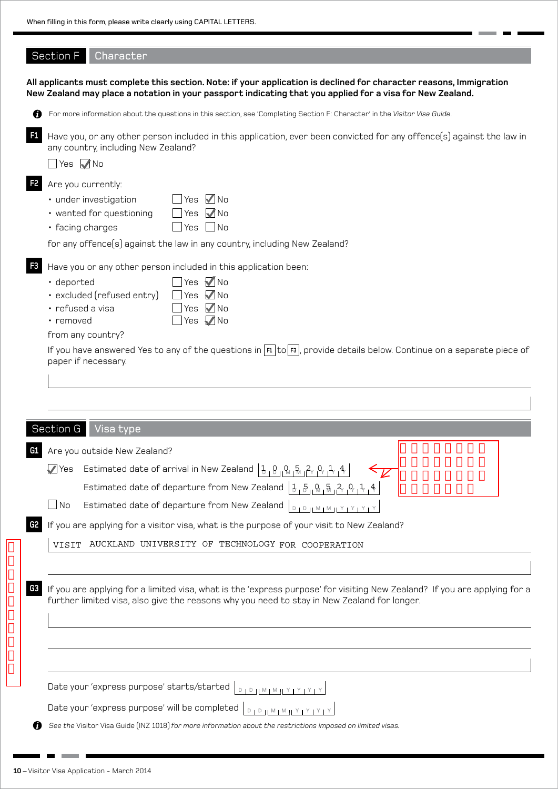| Section F              | Character                                                                                                                                                                                                                                                                                                                                                                                                                                                                                                                                                                                                                                                                                                                                               |
|------------------------|---------------------------------------------------------------------------------------------------------------------------------------------------------------------------------------------------------------------------------------------------------------------------------------------------------------------------------------------------------------------------------------------------------------------------------------------------------------------------------------------------------------------------------------------------------------------------------------------------------------------------------------------------------------------------------------------------------------------------------------------------------|
|                        | All applicants must complete this section. Note: if your application is declined for character reasons, Immigration<br>New Zealand may place a notation in your passport indicating that you applied for a visa for New Zealand.                                                                                                                                                                                                                                                                                                                                                                                                                                                                                                                        |
| n                      | For more information about the questions in this section, see 'Completing Section F: Character' in the Visitor Visa Guide.                                                                                                                                                                                                                                                                                                                                                                                                                                                                                                                                                                                                                              |
| <b>F1</b>              | Have you, or any other person included in this application, ever been convicted for any offence(s) against the law in<br>any country, including New Zealand?<br>$\Box$ Yes $\Box$ No                                                                                                                                                                                                                                                                                                                                                                                                                                                                                                                                                                    |
| F <sub>2</sub>         | Are you currently:<br>$\Box$ Yes $\Box$ No<br>• under investigation<br>$\Box$ Yes $\Box$ No<br>• wanted for questioning<br>$\Box$ Yes $\Box$ No<br>• facing charges<br>for any offence(s) against the law in any country, including New Zealand?                                                                                                                                                                                                                                                                                                                                                                                                                                                                                                        |
| F <sub>3</sub>         | Have you or any other person included in this application been:<br>$\exists$ Yes $\nabla$ No<br>· deported<br>$\Box$ Yes $\Box$ No<br>$\cdot$ excluded (refused entry)<br>Yes $\nabla$ No<br>· refused a visa<br>$\Box$ Yes $\Box$ No<br>• removed<br>from any country?<br>If you have answered Yes to any of the questions in $ \mathbf{r} $ to $ \mathbf{r} $ , provide details below. Continue on a separate piece of<br>paper if necessary.                                                                                                                                                                                                                                                                                                         |
|                        |                                                                                                                                                                                                                                                                                                                                                                                                                                                                                                                                                                                                                                                                                                                                                         |
|                        |                                                                                                                                                                                                                                                                                                                                                                                                                                                                                                                                                                                                                                                                                                                                                         |
| Section G              | <b>Visa type</b>                                                                                                                                                                                                                                                                                                                                                                                                                                                                                                                                                                                                                                                                                                                                        |
| G1 I<br>G <sub>2</sub> | Are you outside New Zealand?<br>Yes<br>Estimated date of arrival in New Zealand $\left[ \frac{1}{2} \, \frac{0}{1} \, \frac{0}{1} \, \frac{1}{10} \, \frac{1}{10} \, \frac{1}{10} \, \frac{1}{10} \, \frac{1}{10} \, \frac{1}{10} \, \frac{1}{10} \right]$<br>Estimated date of departure from New Zealand $\left[\frac{1}{2}, \frac{5}{11}\%$ , $\frac{5}{8}$ , $\left[\frac{2}{11}, \frac{6}{11}, \frac{1}{11}\right]$<br>Estimated date of departure from New Zealand<br>⊿No<br>$1010 \text{H} \text{M} \text{M} \text{H} \text{Y} \text{I} \text{Y} \text{I} \text{Y} \text{I} \text{Y}$<br>If you are applying for a visitor visa, what is the purpose of your visit to New Zealand?<br>AUCKLAND UNIVERSITY OF TECHNOLOGY FOR COOPERATION<br>VISIT |
| G <sub>3</sub>         | If you are applying for a limited visa, what is the 'express purpose' for visiting New Zealand? If you are applying for a<br>further limited visa, also give the reasons why you need to stay in New Zealand for longer.                                                                                                                                                                                                                                                                                                                                                                                                                                                                                                                                |
|                        |                                                                                                                                                                                                                                                                                                                                                                                                                                                                                                                                                                                                                                                                                                                                                         |
|                        | Date your 'express purpose' starts/started<br>$D + D + M + M + Y + Y + Y + Y$<br>Date your 'express purpose' will be completed<br>$D + D + M + M + Y +$                                                                                                                                                                                                                                                                                                                                                                                                                                                                                                                                                                                                 |
|                        | See the Visitor Visa Guide (INZ 1018) for more information about the restrictions imposed on limited visas.                                                                                                                                                                                                                                                                                                                                                                                                                                                                                                                                                                                                                                             |

×

. . . . .

r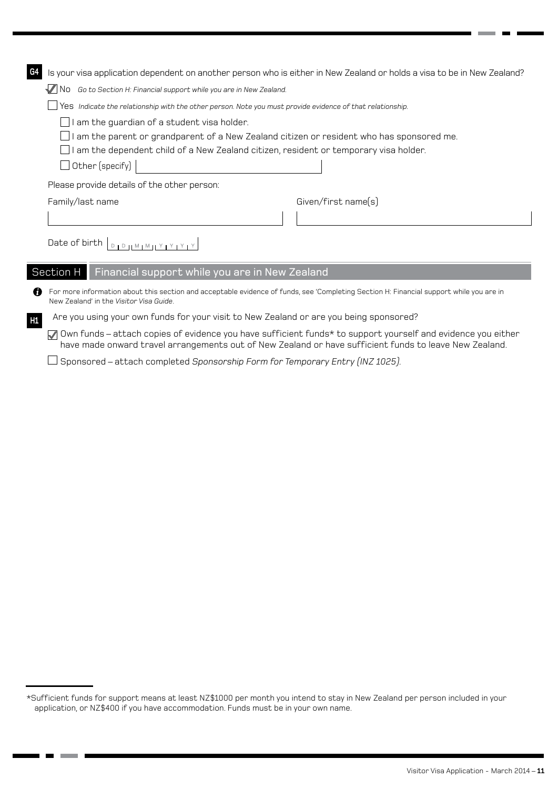|                | Is your visa application dependent on another person who is either in New Zealand or holds a visa to be in New Zealand?                                                                                                                         |
|----------------|-------------------------------------------------------------------------------------------------------------------------------------------------------------------------------------------------------------------------------------------------|
|                | No Go to Section H: Financial support while you are in New Zealand.                                                                                                                                                                             |
|                | Yes Indicate the relationship with the other person. Note you must provide evidence of that relationship.                                                                                                                                       |
|                | I am the guardian of a student visa holder.                                                                                                                                                                                                     |
|                | I am the parent or grandparent of a New Zealand citizen or resident who has sponsored me.                                                                                                                                                       |
|                | am the dependent child of a New Zealand citizen, resident or temporary visa holder.                                                                                                                                                             |
|                | Other (specify)                                                                                                                                                                                                                                 |
|                | Please provide details of the other person:                                                                                                                                                                                                     |
|                | Given/first name(s)<br>Family/last name                                                                                                                                                                                                         |
|                |                                                                                                                                                                                                                                                 |
|                |                                                                                                                                                                                                                                                 |
|                | Date of birth $\vert_{\mathbb{D}_1\mathbb{D}_1\mathbb{M}_1\mathbb{M}_1\mathbb{M}_2\mathbb{M}_1\mathbb{M}_1\mathbb{M}_2}$                                                                                                                        |
|                | Financial support while you are in New Zealand<br>Section H                                                                                                                                                                                     |
| n              | For more information about this section and acceptable evidence of funds, see 'Completing Section H: Financial support while you are in<br>New Zealand' in the Visitor Visa Guide.                                                              |
| H <sub>1</sub> | Are you using your own funds for your visit to New Zealand or are you being sponsored?                                                                                                                                                          |
|                | Own funds – attach copies of evidence you have sufficient funds* to support yourself and evidence you either<br>$\blacktriangleright$<br>have made onward travel arrangements out of New Zealand or have sufficient funds to leave New Zealand. |

<sup>\*</sup>Sufficient funds for support means at least NZ\$1000 per month you intend to stay in New Zealand per person included in your application, or NZ\$400 if you have accommodation. Funds must be in your own name.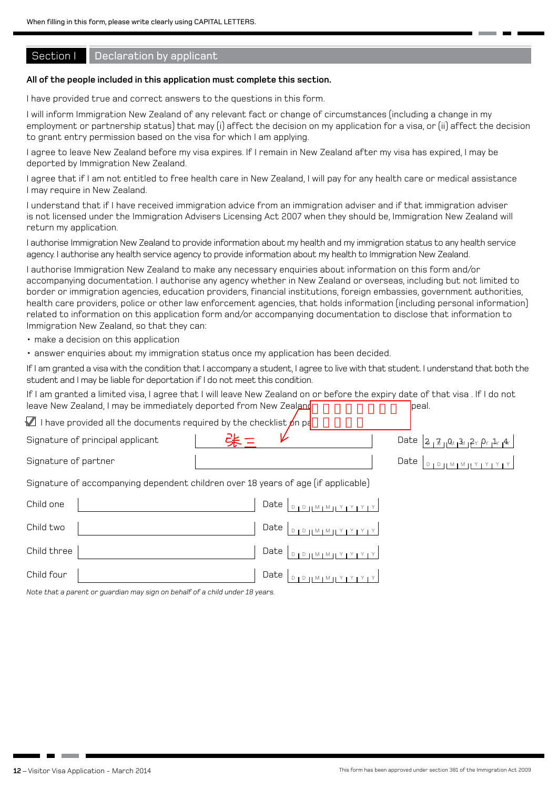### Section I | Declaration by applicant

#### **All of the people included in this application must complete this section.**

I have provided true and correct answers to the questions in this form.

I will inform Immigration New Zealand of any relevant fact or change of circumstances (including a change in my employment or partnership status) that may (i) affect the decision on my application for a visa, or (ii) affect the decision to grant entry permission based on the visa for which I am applying.

I agree to leave New Zealand before my visa expires. If I remain in New Zealand after my visa has expired, I may be deported by Immigration New Zealand.

I agree that if I am not entitled to free health care in New Zealand, I will pay for any health care or medical assistance I may require in New Zealand.

I understand that if I have received immigration advice from an immigration adviser and if that immigration adviser is not licensed under the Immigration Advisers Licensing Act 2007 when they should be, Immigration New Zealand will return my application.

I authorise Immigration New Zealand to provide information about my health and my immigration status to any health service agency. I authorise any health service agency to provide information about my health to Immigration New Zealand.

I authorise Immigration New Zealand to make any necessary enquiries about information on this form and/or accompanying documentation. I authorise any agency whether in New Zealand or overseas, including but not limited to border or immigration agencies, education providers, financial institutions, foreign embassies, government authorities, health care providers, police or other law enforcement agencies, that holds information (including personal information) related to information on this application form and/or accompanying documentation to disclose that information to Immigration New Zealand, so that they can:

- make a decision on this application
- answer enquiries about my immigration status once my application has been decided.

If I am granted a visa with the condition that I accompany a student, I agree to live with that student. I understand that both the student and I may be liable for deportation if I do not meet this condition.

If I am granted a limited visa, I agree that I will leave New Zealand on or before the expiry date of that visa . If I do not leave New Zealand, I may be immediately deported from New Zealand with the right of appeal.

I have provided all the documents required by the checklist  $\rho$ n page 2.1

Signature of principal applicant

Signature of partner

Signature of accompanying dependent children over 18 years of age (if applicable)

| Child one   |  | $\Delta$ Date $ _{\text{DIPHMHY}$                                                                                    |
|-------------|--|----------------------------------------------------------------------------------------------------------------------|
| Child two   |  | $\Delta$ Date $ _{\mathcal{D} + \mathcal{D} + \mathcal{U} + \mathcal{M} + \mathcal{N} + \mathcal{V} + \mathcal{V}} $ |
| Child three |  | Date $ _{D_1D_1 M_1M_1 Y_1Y_1Y_1Y}$                                                                                  |
| Child four  |  | Date $ _{D_1D_1 M_1M_1 Y_1Y_1Y_1Y}$                                                                                  |

*Note that a parent or guardian may sign on behalf of a child under 18 years.*

Date  $|2 \nabla \cdot 10 \cdot 13 \cdot 2 \cdot 0 \cdot 11 \cdot 4 \cdot 14$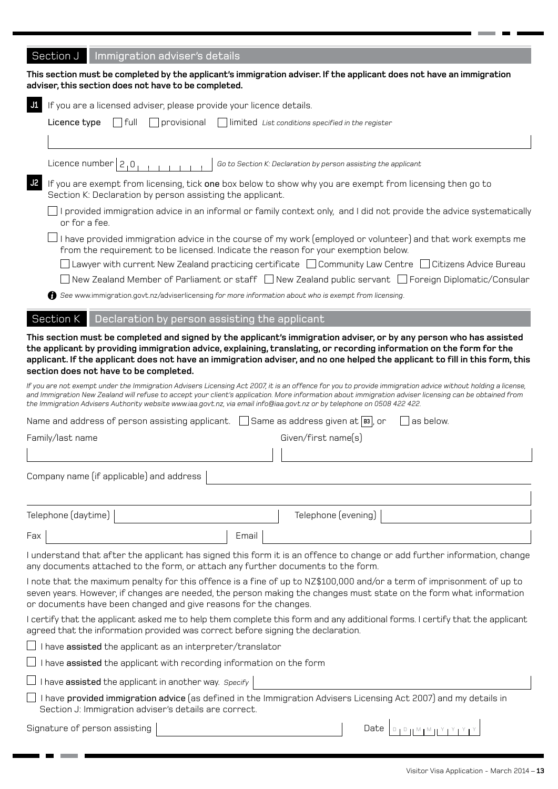# Section J Immigration adviser's details

|                                                                                                                                           | This section must be completed by the applicant's immigration adviser. If the applicant does not have an immigration<br>adviser, this section does not have to be completed.                                                                                                                                                                                                                                                                                                                                                                                                                                                                                                                                                                  |  |  |  |  |  |  |  |  |
|-------------------------------------------------------------------------------------------------------------------------------------------|-----------------------------------------------------------------------------------------------------------------------------------------------------------------------------------------------------------------------------------------------------------------------------------------------------------------------------------------------------------------------------------------------------------------------------------------------------------------------------------------------------------------------------------------------------------------------------------------------------------------------------------------------------------------------------------------------------------------------------------------------|--|--|--|--|--|--|--|--|
| J1                                                                                                                                        | If you are a licensed adviser, please provide your licence details.                                                                                                                                                                                                                                                                                                                                                                                                                                                                                                                                                                                                                                                                           |  |  |  |  |  |  |  |  |
| full<br>$\sqcap$ provisional<br>Licence type<br>$\vert$ $\vert$ limited List conditions specified in the register                         |                                                                                                                                                                                                                                                                                                                                                                                                                                                                                                                                                                                                                                                                                                                                               |  |  |  |  |  |  |  |  |
|                                                                                                                                           |                                                                                                                                                                                                                                                                                                                                                                                                                                                                                                                                                                                                                                                                                                                                               |  |  |  |  |  |  |  |  |
|                                                                                                                                           | Licence number $2,0,$<br>Go to Section K: Declaration by person assisting the applicant                                                                                                                                                                                                                                                                                                                                                                                                                                                                                                                                                                                                                                                       |  |  |  |  |  |  |  |  |
| J2                                                                                                                                        | If you are exempt from licensing, tick one box below to show why you are exempt from licensing then go to<br>Section K: Declaration by person assisting the applicant.                                                                                                                                                                                                                                                                                                                                                                                                                                                                                                                                                                        |  |  |  |  |  |  |  |  |
|                                                                                                                                           | I provided immigration advice in an informal or family context only, and I did not provide the advice systematically<br>or for a fee.                                                                                                                                                                                                                                                                                                                                                                                                                                                                                                                                                                                                         |  |  |  |  |  |  |  |  |
|                                                                                                                                           | I have provided immigration advice in the course of my work (employed or volunteer) and that work exempts me<br>from the requirement to be licensed. Indicate the reason for your exemption below.                                                                                                                                                                                                                                                                                                                                                                                                                                                                                                                                            |  |  |  |  |  |  |  |  |
| $\mid$ Lawyer with current New Zealand practicing certificate $\;\;\bigsqcup$ Community Law Centre $\;\;\bigsqcup$ Citizens Advice Bureau |                                                                                                                                                                                                                                                                                                                                                                                                                                                                                                                                                                                                                                                                                                                                               |  |  |  |  |  |  |  |  |
| New Zealand Member of Parliament or staff □ New Zealand public servant □ Foreign Diplomatic/Consular                                      |                                                                                                                                                                                                                                                                                                                                                                                                                                                                                                                                                                                                                                                                                                                                               |  |  |  |  |  |  |  |  |
|                                                                                                                                           | See www.immigration.govt.nz/adviserlicensing for more information about who is exempt from licensing.                                                                                                                                                                                                                                                                                                                                                                                                                                                                                                                                                                                                                                         |  |  |  |  |  |  |  |  |
|                                                                                                                                           | Section K<br>Declaration by person assisting the applicant                                                                                                                                                                                                                                                                                                                                                                                                                                                                                                                                                                                                                                                                                    |  |  |  |  |  |  |  |  |
|                                                                                                                                           | This section must be completed and signed by the applicant's immigration adviser, or by any person who has assisted<br>the applicant by providing immigration advice, explaining, translating, or recording information on the form for the<br>applicant. If the applicant does not have an immigration adviser, and no one helped the applicant to fill in this form, this<br>section does not have to be completed.<br>If you are not exempt under the Immigration Advisers Licensing Act 2007, it is an offence for you to provide immigration advice without holding a license,<br>and Immigration New Zealand will refuse to accept your client's application. More information about immigration adviser licensing can be obtained from |  |  |  |  |  |  |  |  |
|                                                                                                                                           | the Immigration Advisers Authority website www.iaa.govt.nz, via email info@iaa.govt.nz or by telephone on 0508 422 422.                                                                                                                                                                                                                                                                                                                                                                                                                                                                                                                                                                                                                       |  |  |  |  |  |  |  |  |
|                                                                                                                                           | Name and address of person assisting applicant. $\Box$ Same as address given at $ \mathbf{B} $ , or<br>as below.                                                                                                                                                                                                                                                                                                                                                                                                                                                                                                                                                                                                                              |  |  |  |  |  |  |  |  |
|                                                                                                                                           | Given/first name(s)<br>Family/last name                                                                                                                                                                                                                                                                                                                                                                                                                                                                                                                                                                                                                                                                                                       |  |  |  |  |  |  |  |  |
|                                                                                                                                           |                                                                                                                                                                                                                                                                                                                                                                                                                                                                                                                                                                                                                                                                                                                                               |  |  |  |  |  |  |  |  |
|                                                                                                                                           | Company name (if applicable) and address                                                                                                                                                                                                                                                                                                                                                                                                                                                                                                                                                                                                                                                                                                      |  |  |  |  |  |  |  |  |
|                                                                                                                                           |                                                                                                                                                                                                                                                                                                                                                                                                                                                                                                                                                                                                                                                                                                                                               |  |  |  |  |  |  |  |  |
|                                                                                                                                           | Telephone (daytime)<br>Telephone (evening)                                                                                                                                                                                                                                                                                                                                                                                                                                                                                                                                                                                                                                                                                                    |  |  |  |  |  |  |  |  |
| Fax                                                                                                                                       | Email                                                                                                                                                                                                                                                                                                                                                                                                                                                                                                                                                                                                                                                                                                                                         |  |  |  |  |  |  |  |  |
|                                                                                                                                           | I understand that after the applicant has signed this form it is an offence to change or add further information, change<br>any documents attached to the form, or attach any further documents to the form.                                                                                                                                                                                                                                                                                                                                                                                                                                                                                                                                  |  |  |  |  |  |  |  |  |
|                                                                                                                                           | I note that the maximum penalty for this offence is a fine of up to NZ\$100,000 and/or a term of imprisonment of up to<br>seven years. However, if changes are needed, the person making the changes must state on the form what information<br>or documents have been changed and give reasons for the changes.                                                                                                                                                                                                                                                                                                                                                                                                                              |  |  |  |  |  |  |  |  |
|                                                                                                                                           | I certify that the applicant asked me to help them complete this form and any additional forms. I certify that the applicant<br>agreed that the information provided was correct before signing the declaration.                                                                                                                                                                                                                                                                                                                                                                                                                                                                                                                              |  |  |  |  |  |  |  |  |
|                                                                                                                                           | I have assisted the applicant as an interpreter/translator                                                                                                                                                                                                                                                                                                                                                                                                                                                                                                                                                                                                                                                                                    |  |  |  |  |  |  |  |  |
|                                                                                                                                           | I have assisted the applicant with recording information on the form                                                                                                                                                                                                                                                                                                                                                                                                                                                                                                                                                                                                                                                                          |  |  |  |  |  |  |  |  |
|                                                                                                                                           | $\perp$ I have <b>assisted</b> the applicant in another way. <i>Specify</i>                                                                                                                                                                                                                                                                                                                                                                                                                                                                                                                                                                                                                                                                   |  |  |  |  |  |  |  |  |
|                                                                                                                                           | I have provided immigration advice (as defined in the Immigration Advisers Licensing Act 2007) and my details in<br>Section J: Immigration adviser's details are correct.                                                                                                                                                                                                                                                                                                                                                                                                                                                                                                                                                                     |  |  |  |  |  |  |  |  |
|                                                                                                                                           | Signature of person assisting<br>Date<br>$D + D + M + M + M + M + M$                                                                                                                                                                                                                                                                                                                                                                                                                                                                                                                                                                                                                                                                          |  |  |  |  |  |  |  |  |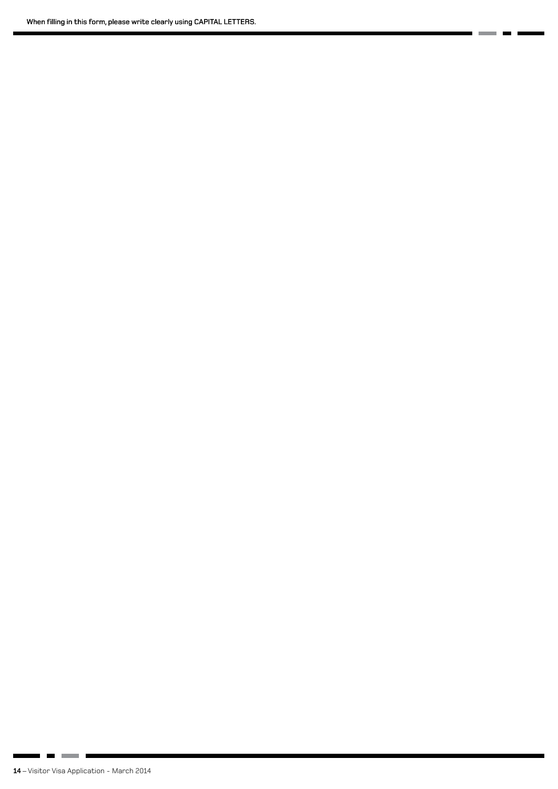**C** ä,  $\mathbf{r}$ ۰

. . . .

Т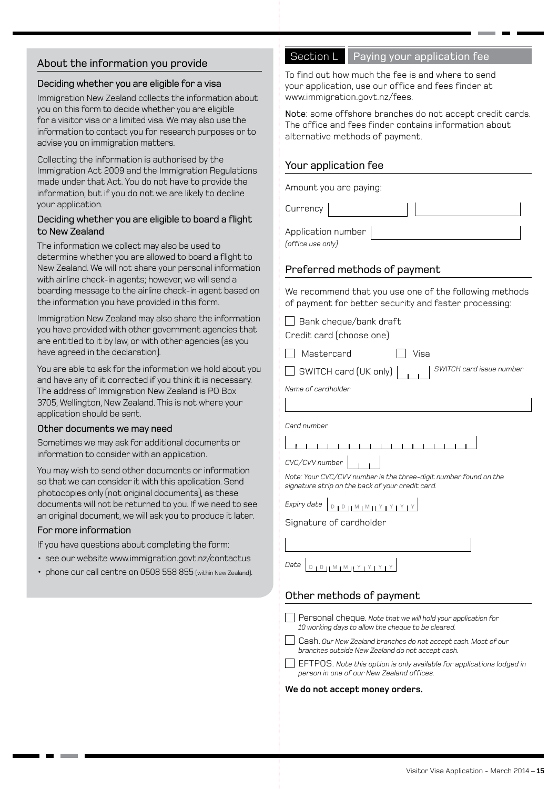## About the information you provide

### Deciding whether you are eligible for a visa

Immigration New Zealand collects the information about you on this form to decide whether you are eligible for a visitor visa or a limited visa. We may also use the information to contact you for research purposes or to advise you on immigration matters.

Collecting the information is authorised by the Immigration Act 2009 and the Immigration Regulations made under that Act. You do not have to provide the information, but if you do not we are likely to decline your application.

### Deciding whether you are eligible to board a flight to New Zealand

The information we collect may also be used to determine whether you are allowed to board a flight to New Zealand. We will not share your personal information with airline check-in agents; however, we will send a boarding message to the airline check-in agent based on the information you have provided in this form.

Immigration New Zealand may also share the information you have provided with other government agencies that are entitled to it by law, or with other agencies (as you have agreed in the declaration).

You are able to ask for the information we hold about you and have any of it corrected if you think it is necessary. The address of Immigration New Zealand is PO Box 3705, Wellington, New Zealand. This is not where your application should be sent.

### Other documents we may need

Sometimes we may ask for additional documents or information to consider with an application.

You may wish to send other documents or information so that we can consider it with this application. Send photocopies only (not original documents), as these documents will not be returned to you. If we need to see an original document, we will ask you to produce it later.

### For more information

If you have questions about completing the form:

- see our website www.immigration.govt.nz/contactus
- phone our call centre on 0508 558 855 (within New Zealand).

# Section L Paying your application fee

To find out how much the fee is and where to send your application, use our office and fees finder at www.immigration.govt.nz/fees.

Note: some offshore branches do not accept credit cards. The office and fees finder contains information about alternative methods of payment.

### Your application fee

Amount you are paying:

**Currency** 

Application number *(office use only)*

### Preferred methods of payment

We recommend that you use one of the following methods of payment for better security and faster processing:

Bank cheque/bank draft

Credit card (choose one)

Mastercard Visa

SWITCH card (UK only) *SWITCH card issue number*

*Name of cardholder*

*Card number*

*CVC/CVV number*

*Note: Your CVC/CVV number is the three-digit number found on the signature strip on the back of your credit card.*

| $\epsilon$ xpiry date $\int_{0}^{1}$ $\epsilon$ $\int_{0}^{1}$ $\epsilon$ $\int_{0}^{1}$ $\int_{0}^{1}$ $\int_{0}^{1}$ $\int_{0}^{1}$ $\int_{0}^{1}$ $\int_{0}^{1}$ $\int_{0}^{1}$ $\int_{0}^{1}$ $\int_{0}^{1}$ $\int_{0}^{1}$ $\int_{0}^{1}$ $\int_{0}^{1}$ $\int_{0}^{1}$ $\int_{0}^{1}$ $\int_{0}^{1}$ $\int_{0}^{1}$ |  |  |  |  |  |  |  |  |
|---------------------------------------------------------------------------------------------------------------------------------------------------------------------------------------------------------------------------------------------------------------------------------------------------------------------------|--|--|--|--|--|--|--|--|
|---------------------------------------------------------------------------------------------------------------------------------------------------------------------------------------------------------------------------------------------------------------------------------------------------------------------------|--|--|--|--|--|--|--|--|

Signature of cardholder

*Date* 

### Other methods of payment

Personal cheque. *Note that we will hold your application for 10 working days to allow the cheque to be cleared.*

Cash. *Our New Zealand branches do not accept cash. Most of our branches outside New Zealand do not accept cash.*

EFTPOS. *Note this option is only available for applications lodged in person in one of our New Zealand offices.*

**We do not accept money orders.**